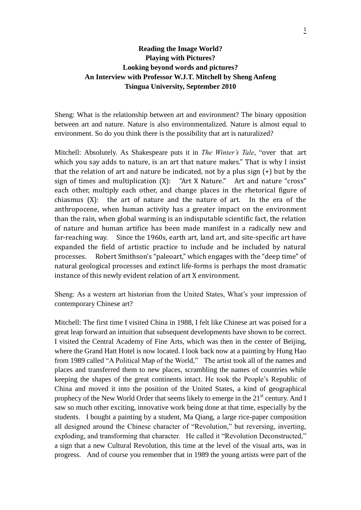# **Reading the Image World? Playing with Pictures? Looking beyond words and pictures? An Interview with Professor W.J.T. Mitchell by Sheng Anfeng Tsingua University, September 2010**

Sheng: What is the relationship between art and environment? The binary opposition between art and nature. Nature is also environmentalized. Nature is almost equal to environment. So do you think there is the possibility that art is naturalized?

Mitchell: Absolutely. As Shakespeare puts it in *The Winter's Tale*, "over that art which you say adds to nature, is an art that nature makes." That is why I insist that the relation of art and nature be indicated, not by a plus sign (+) but by the sign of times and multiplication (X): "Art X Nature." Art and nature "cross" each other, multiply each other, and change places in the rhetorical figure of chiasmus (X): the art of nature and the nature of art. In the era of the anthropocene, when human activity has a greater impact on the environment than the rain, when global warming is an indisputable scientific fact, the relation of nature and human artifice has been made manifest in a radically new and far-reaching way. Since the 1960s, earth art, land art, and site-specific art have expanded the field of artistic practice to include and be included by natural processes. Robert Smithson's "paleoart," which engages with the "deep time" of natural geological processes and extinct life-forms is perhaps the most dramatic instance of this newly evident relation of art X environment.

Sheng: As a western art historian from the United States, What's your impression of contemporary Chinese art?

Mitchell: The first time I visited China in 1988, I felt like Chinese art was poised for a great leap forward an intuition that subsequent developments have shown to be correct. I visited the Central Academy of Fine Arts, which was then in the center of Beijing, where the Grand Hatt Hotel is now located. I look back now at a painting by Hung Hao from 1989 called "A Political Map of the World," The artist took all of the names and places and transferred them to new places, scrambling the names of countries while keeping the shapes of the great continents intact. He took the People's Republic of China and moved it into the position of the United States, a kind of geographical prophecy of the New World Order that seems likely to emerge in the  $21<sup>st</sup>$  century. And I saw so much other exciting, innovative work being done at that time, especially by the students. I bought a painting by a student, Ma Qiang, a large rice-paper composition all designed around the Chinese character of "Revolution," but reversing, inverting, exploding, and transforming that character. He called it "Revolution Deconstructed," a sign that a new Cultural Revolution, this time at the level of the visual arts, was in progress. And of course you remember that in 1989 the young artists were part of the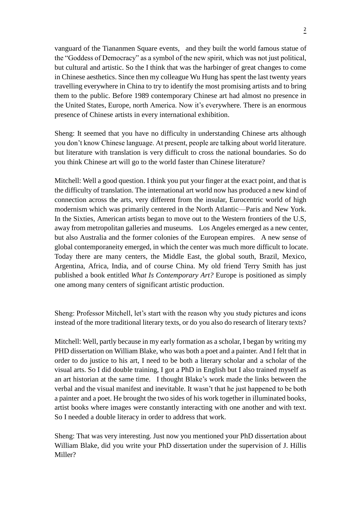vanguard of the Tiananmen Square events, and they built the world famous statue of the "Goddess of Democracy" as a symbol of the new spirit, which was not just political, but cultural and artistic. So the I think that was the harbinger of great changes to come in Chinese aesthetics. Since then my colleague Wu Hung has spent the last twenty years travelling everywhere in China to try to identify the most promising artists and to bring them to the public. Before 1989 contemporary Chinese art had almost no presence in the United States, Europe, north America. Now it's everywhere. There is an enormous presence of Chinese artists in every international exhibition.

Sheng: It seemed that you have no difficulty in understanding Chinese arts although you don't know Chinese language. At present, people are talking about world literature. but literature with translation is very difficult to cross the national boundaries. So do you think Chinese art will go to the world faster than Chinese literature?

Mitchell: Well a good question. I think you put your finger at the exact point, and that is the difficulty of translation. The international art world now has produced a new kind of connection across the arts, very different from the insular, Eurocentric world of high modernism which was primarily centered in the North Atlantic—Paris and New York. In the Sixties, American artists began to move out to the Western frontiers of the U.S, away from metropolitan galleries and museums. Los Angeles emerged as a new center, but also Australia and the former colonies of the European empires. A new sense of global contemporaneity emerged, in which the center was much more difficult to locate. Today there are many centers, the Middle East, the global south, Brazil, Mexico, Argentina, Africa, India, and of course China. My old friend Terry Smith has just published a book entitled *What Is Contemporary Art?* Europe is positioned as simply one among many centers of significant artistic production.

Sheng: Professor Mitchell, let's start with the reason why you study pictures and icons instead of the more traditional literary texts, or do you also do research of literary texts?

Mitchell: Well, partly because in my early formation as a scholar, I began by writing my PHD dissertation on William Blake, who was both a poet and a painter. And I felt that in order to do justice to his art, I need to be both a literary scholar and a scholar of the visual arts. So I did double training, I got a PhD in English but I also trained myself as an art historian at the same time. I thought Blake's work made the links between the verbal and the visual manifest and inevitable. It wasn't that he just happened to be both a painter and a poet. He brought the two sides of his work together in illuminated books, artist books where images were constantly interacting with one another and with text. So I needed a double literacy in order to address that work.

Sheng: That was very interesting. Just now you mentioned your PhD dissertation about William Blake, did you write your PhD dissertation under the supervision of J. Hillis Miller?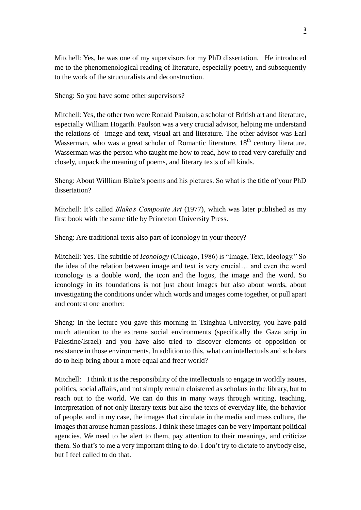Mitchell: Yes, he was one of my supervisors for my PhD dissertation. He introduced me to the phenomenological reading of literature, especially poetry, and subsequently to the work of the structuralists and deconstruction.

Sheng: So you have some other supervisors?

Mitchell: Yes, the other two were Ronald Paulson, a scholar of British art and literature, especially William Hogarth. Paulson was a very crucial advisor, helping me understand the relations of image and text, visual art and literature. The other advisor was Earl Wasserman, who was a great scholar of Romantic literature, 18<sup>th</sup> century literature. Wasserman was the person who taught me how to read, how to read very carefully and closely, unpack the meaning of poems, and literary texts of all kinds.

Sheng: About Willliam Blake's poems and his pictures. So what is the title of your PhD dissertation?

Mitchell: It's called *Blake's Composite Art* (1977), which was later published as my first book with the same title by Princeton University Press.

Sheng: Are traditional texts also part of Iconology in your theory?

Mitchell: Yes. The subtitle of *Iconology* (Chicago, 1986) is "Image, Text, Ideology." So the idea of the relation between image and text is very crucial… and even the word iconology is a double word, the icon and the logos, the image and the word. So iconology in its foundations is not just about images but also about words, about investigating the conditions under which words and images come together, or pull apart and contest one another.

Sheng: In the lecture you gave this morning in Tsinghua University, you have paid much attention to the extreme social environments (specifically the Gaza strip in Palestine/Israel) and you have also tried to discover elements of opposition or resistance in those environments. In addition to this, what can intellectuals and scholars do to help bring about a more equal and freer world?

Mitchell: I think it is the responsibility of the intellectuals to engage in worldly issues, politics, social affairs, and not simply remain cloistered as scholars in the library, but to reach out to the world. We can do this in many ways through writing, teaching, interpretation of not only literary texts but also the texts of everyday life, the behavior of people, and in my case, the images that circulate in the media and mass culture, the images that arouse human passions. I think these images can be very important political agencies. We need to be alert to them, pay attention to their meanings, and criticize them. So that's to me a very important thing to do. I don't try to dictate to anybody else, but I feel called to do that.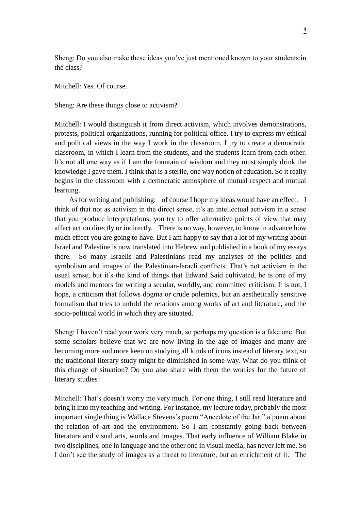Sheng: Do you also make these ideas you've just mentioned known to your students in the class?

Mitchell: Yes. Of course.

Sheng: Are these things close to activism?

Mitchell: I would distinguish it from direct activism, which involves demonstrations, protests, political organizations, running for political office. I try to express my ethical and political views in the way I work in the classroom. I try to create a democratic classroom, in which I learn from the students, and the students learn from each other. It's not all one way as if I am the fountain of wisdom and they must simply drink the knowledge I gave them. I think that is a sterile, one way notion of education. So it really begins in the classroom with a democratic atmosphere of mutual respect and mutual learning.

As for writing and publishing: of course I hope my ideas would have an effect. I think of that not as activism in the direct sense, it's an intellectual activism in a sense that you produce interpretations; you try to offer alternative points of view that may affect action directly or indirectly. There is no way, however, to know in advance how much effect you are going to have. But I am happy to say that a lot of my writing about Israel and Palestine is now translated into Hebrew and published in a book of my essays there. So many Israelis and Palestinians read my analyses of the politics and symbolism and images of the Palestinian-Israeli conflicts. That's not activism in the usual sense, but it's the kind of things that Edward Said cultivated, he is one of my models and mentors for writing a secular, worldly, and committed criticism. It is not, I hope, a criticism that follows dogma or crude polemics, but an aesthetically sensitive formalism that tries to unfold the relations among works of art and literature, and the socio-political world in which they are situated.

Sheng: I haven't read your work very much, so perhaps my question is a fake one. But some scholars believe that we are now living in the age of images and many are becoming more and more keen on studying all kinds of icons instead of literary text, so the traditional literary study might be diminished in some way. What do you think of this change of situation? Do you also share with them the worries for the future of literary studies?

Mitchell: That's doesn't worry me very much. For one thing, I still read literature and bring it into my teaching and writing. For instance, my lecture today, probably the most important single thing is Wallace Stevens's poem "Anecdote of the Jar," a poem about the relation of art and the environment. So I am constantly going back between literature and visual arts, words and images. That early influence of William Blake in two disciplines, one in language and the other one in visual media, has never left me. So I don't see the study of images as a threat to literature, but an enrichment of it. The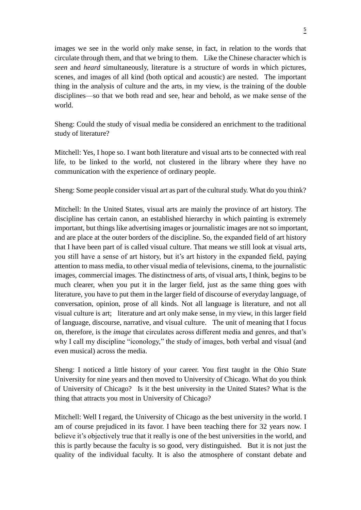images we see in the world only make sense, in fact, in relation to the words that circulate through them, and that we bring to them. Like the Chinese character which is *seen* and *heard* simultaneously, literature is a structure of words in which pictures, scenes, and images of all kind (both optical and acoustic) are nested. The important thing in the analysis of culture and the arts, in my view, is the training of the double disciplines—so that we both read and see, hear and behold, as we make sense of the world.

Sheng: Could the study of visual media be considered an enrichment to the traditional study of literature?

Mitchell: Yes, I hope so. I want both literature and visual arts to be connected with real life, to be linked to the world, not clustered in the library where they have no communication with the experience of ordinary people.

Sheng: Some people consider visual art as part of the cultural study. What do you think?

Mitchell: In the United States, visual arts are mainly the province of art history. The discipline has certain canon, an established hierarchy in which painting is extremely important, but things like advertising images or journalistic images are not so important, and are place at the outer borders of the discipline. So, the expanded field of art history that I have been part of is called visual culture. That means we still look at visual arts, you still have a sense of art history, but it's art history in the expanded field, paying attention to mass media, to other visual media of televisions, cinema, to the journalistic images, commercial images. The distinctness of arts, of visual arts, I think, begins to be much clearer, when you put it in the larger field, just as the same thing goes with literature, you have to put them in the larger field of discourse of everyday language, of conversation, opinion, prose of all kinds. Not all language is literature, and not all visual culture is art; literature and art only make sense, in my view, in this larger field of language, discourse, narrative, and visual culture. The unit of meaning that I focus on, therefore, is the *image* that circulates across different media and genres, and that's why I call my discipline "iconology," the study of images, both verbal and visual (and even musical) across the media.

Sheng: I noticed a little history of your career. You first taught in the Ohio State University for nine years and then moved to University of Chicago. What do you think of University of Chicago? Is it the best university in the United States? What is the thing that attracts you most in University of Chicago?

Mitchell: Well I regard, the University of Chicago as the best university in the world. I am of course prejudiced in its favor. I have been teaching there for 32 years now. I believe it's objectively true that it really is one of the best universities in the world, and this is partly because the faculty is so good, very distinguished. But it is not just the quality of the individual faculty. It is also the atmosphere of constant debate and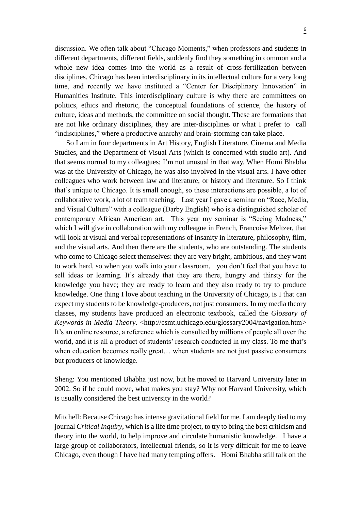discussion. We often talk about "Chicago Moments," when professors and students in different departments, different fields, suddenly find they something in common and a whole new idea comes into the world as a result of cross-fertilization between disciplines. Chicago has been interdisciplinary in its intellectual culture for a very long time, and recently we have instituted a "Center for Disciplinary Innovation" in Humanities Institute. This interdisciplinary culture is why there are committees on politics, ethics and rhetoric, the conceptual foundations of science, the history of culture, ideas and methods, the committee on social thought. These are formations that are not like ordinary disciplines, they are inter-disciplines or what I prefer to call "indisciplines," where a productive anarchy and brain-storming can take place.

 So I am in four departments in Art History, English Literature, Cinema and Media Studies, and the Department of Visual Arts (which is concerned with studio art). And that seems normal to my colleagues; I'm not unusual in that way. When Homi Bhabha was at the University of Chicago, he was also involved in the visual arts. I have other colleagues who work between law and literature, or history and literature. So I think that's unique to Chicago. It is small enough, so these interactions are possible, a lot of collaborative work, a lot of team teaching. Last year I gave a seminar on "Race, Media, and Visual Culture" with a colleague (Darby English) who is a distinguished scholar of contemporary African American art. This year my seminar is "Seeing Madness," which I will give in collaboration with my colleague in French, Francoise Meltzer, that will look at visual and verbal representations of insanity in literature, philosophy, film, and the visual arts. And then there are the students, who are outstanding. The students who come to Chicago select themselves: they are very bright, ambitious, and they want to work hard, so when you walk into your classroom, you don't feel that you have to sell ideas or learning. It's already that they are there, hungry and thirsty for the knowledge you have; they are ready to learn and they also ready to try to produce knowledge. One thing I love about teaching in the University of Chicago, is I that can expect my students to be knowledge-producers, not just consumers. In my media theory classes, my students have produced an electronic textbook, called the *Glossary of Keywords in Media Theory*. <http://csmt.uchicago.edu/glossary2004/navigation.htm> It's an online resource, a reference which is consulted by millions of people all over the world, and it is all a product of students' research conducted in my class. To me that's when education becomes really great… when students are not just passive consumers but producers of knowledge.

Sheng: You mentioned Bhabha just now, but he moved to Harvard University later in 2002. So if he could move, what makes you stay? Why not Harvard University, which is usually considered the best university in the world?

Mitchell: Because Chicago has intense gravitational field for me. I am deeply tied to my journal *Critical Inquiry*, which is a life time project, to try to bring the best criticism and theory into the world, to help improve and circulate humanistic knowledge. I have a large group of collaborators, intellectual friends, so it is very difficult for me to leave Chicago, even though I have had many tempting offers. Homi Bhabha still talk on the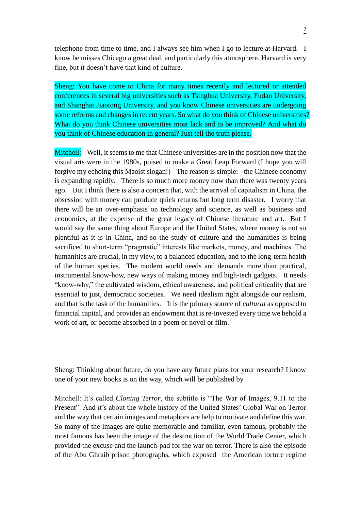telephone from time to time, and I always see him when I go to lecture at Harvard. I know he misses Chicago a great deal, and particularly this atmosphere. Harvard is very fine, but it doesn't have that kind of culture.

Sheng: You have come to China for many times recently and lectured or attended conferences in several big universities such as Tsinghua University, Fudan University, and Shanghai Jiaotong University, and you know Chinese universities are undergoing some reforms and changes in recent years. So what do you think of Chinese universities? What do you think Chinese universities most lack and to be improved? And what do you think of Chinese education in general? Just tell the truth please.

Mitchell: Well, it seems to me that Chinese universities are in the position now that the visual arts were in the 1980s, poised to make a Great Leap Forward (I hope you will forgive my echoing this Maoist slogan!) The reason is simple: the Chinese economy is expanding rapidly. There is so much more money now than there was twenty years ago. But I think there is also a concern that, with the arrival of capitalism in China, the obsession with money can produce quick returns but long term disaster. I worry that there will be an over-emphasis on technology and science, as well as business and economics, at the expense of the great legacy of Chinese literature and art. But I would say the same thing about Europe and the United States, where money is not so plentiful as it is in China, and so the study of culture and the humanities is being sacrificed to short-term "pragmatic" interests like markets, money, and machines. The humanities are crucial, in my view, to a balanced education, and to the long-term health of the human species. The modern world needs and demands more than practical, instrumental know-how, new ways of making money and high-tech gadgets. It needs "know-why," the cultivated wisdom, ethical awareness, and political criticality that are essential to just, democratic societies. We need idealism right alongside our realism, and that is the task of the humanities. It is the primary source of *cultural* as opposed to financial capital, and provides an endowment that is re-invested every time we behold a work of art, or become absorbed in a poem or novel or film.

Sheng: Thinking about future, do you have any future plans for your research? I know one of your new books is on the way, which will be published by

Mitchell: It's called *Cloning Terror*, the subtitle is "The War of Images, 9.11 to the Present". And it's about the whole history of the United States' Global War on Terror and the way that certain images and metaphors are help to motivate and define this war. So many of the images are quite memorable and familiar, even famous, probably the most famous has been the image of the destruction of the World Trade Center, which provided the excuse and the launch-pad for the war on terror. There is also the episode of the Abu Ghraib prison photographs, which exposed the American torture regime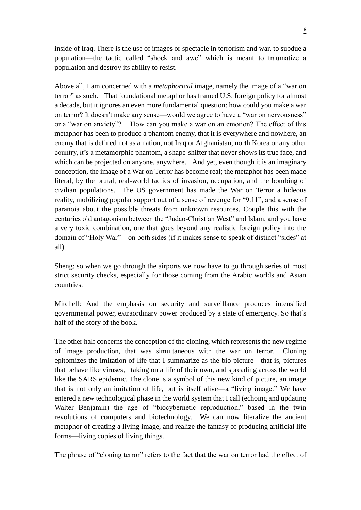inside of Iraq. There is the use of images or spectacle in terrorism and war, to subdue a population—the tactic called "shock and awe" which is meant to traumatize a population and destroy its ability to resist.

Above all, I am concerned with a *metaphorical* image, namely the image of a "war on terror" as such. That foundational metaphor has framed U.S. foreign policy for almost a decade, but it ignores an even more fundamental question: how could you make a war on terror? It doesn't make any sense—would we agree to have a "war on nervousness" or a "war on anxiety"? How can you make a war on an emotion? The effect of this metaphor has been to produce a phantom enemy, that it is everywhere and nowhere, an enemy that is defined not as a nation, not Iraq or Afghanistan, north Korea or any other country, it's a metamorphic phantom, a shape-shifter that never shows its true face, and which can be projected on anyone, anywhere. And yet, even though it is an imaginary conception, the image of a War on Terror has become real; the metaphor has been made literal, by the brutal, real-world tactics of invasion, occupation, and the bombing of civilian populations. The US government has made the War on Terror a hideous reality, mobilizing popular support out of a sense of revenge for "9.11", and a sense of paranoia about the possible threats from unknown resources. Couple this with the centuries old antagonism between the "Judao-Christian West" and Islam, and you have a very toxic combination, one that goes beyond any realistic foreign policy into the domain of "Holy War"—on both sides (if it makes sense to speak of distinct "sides" at all).

Sheng: so when we go through the airports we now have to go through series of most strict security checks, especially for those coming from the Arabic worlds and Asian countries.

Mitchell: And the emphasis on security and surveillance produces intensified governmental power, extraordinary power produced by a state of emergency. So that's half of the story of the book.

The other half concerns the conception of the cloning, which represents the new regime of image production, that was simultaneous with the war on terror. Cloning epitomizes the imitation of life that I summarize as the bio-picture—that is, pictures that behave like viruses, taking on a life of their own, and spreading across the world like the SARS epidemic. The clone is a symbol of this new kind of picture, an image that is not only an imitation of life, but is itself alive—a "living image." We have entered a new technological phase in the world system that I call (echoing and updating Walter Benjamin) the age of "biocybernetic reproduction," based in the twin revolutions of computers and biotechnology. We can now literalize the ancient metaphor of creating a living image, and realize the fantasy of producing artificial life forms—living copies of living things.

The phrase of "cloning terror" refers to the fact that the war on terror had the effect of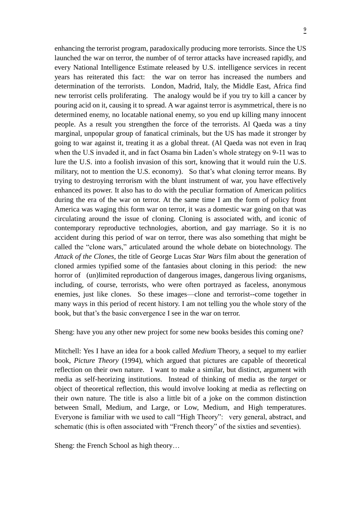enhancing the terrorist program, paradoxically producing more terrorists. Since the US launched the war on terror, the number of of terror attacks have increased rapidly, and every National Intelligence Estimate released by U.S. intelligence services in recent years has reiterated this fact: the war on terror has increased the numbers and determination of the terrorists. London, Madrid, Italy, the Middle East, Africa find new terrorist cells proliferating. The analogy would be if you try to kill a cancer by pouring acid on it, causing it to spread. A war against terror is asymmetrical, there is no determined enemy, no locatable national enemy, so you end up killing many innocent people. As a result you strengthen the force of the terrorists. Al Qaeda was a tiny marginal, unpopular group of fanatical criminals, but the US has made it stronger by going to war against it, treating it as a global threat. (Al Qaeda was not even in Iraq when the U.S invaded it, and in fact Osama bin Laden's whole strategy on 9-11 was to lure the U.S. into a foolish invasion of this sort, knowing that it would ruin the U.S. military, not to mention the U.S. economy). So that's what cloning terror means. By trying to destroying terrorism with the blunt instrument of war, you have effectively enhanced its power. It also has to do with the peculiar formation of American politics during the era of the war on terror. At the same time I am the form of policy front America was waging this form war on terror, it was a domestic war going on that was circulating around the issue of cloning. Cloning is associated with, and iconic of contemporary reproductive technologies, abortion, and gay marriage. So it is no accident during this period of war on terror, there was also something that might be called the "clone wars," articulated around the whole debate on biotechnology. The *Attack of the Clones*, the title of George Lucas *Star Wars* film about the generation of cloned armies typified some of the fantasies about cloning in this period: the new horror of (un)limited reproduction of dangerous images, dangerous living organisms, including, of course, terrorists, who were often portrayed as faceless, anonymous enemies, just like clones. So these images—clone and terrorist--come together in many ways in this period of recent history. I am not telling you the whole story of the book, but that's the basic convergence I see in the war on terror.

Sheng: have you any other new project for some new books besides this coming one?

Mitchell: Yes I have an idea for a book called *Medium* Theory, a sequel to my earlier book, *Picture Theory* (1994), which argued that pictures are capable of theoretical reflection on their own nature. I want to make a similar, but distinct, argument with media as self-heorizing institutions. Instead of thinking of media as the *target* or object of theoretical reflection, this would involve looking at media as reflecting on their own nature. The title is also a little bit of a joke on the common distinction between Small, Medium, and Large, or Low, Medium, and High temperatures. Everyone is familiar with we used to call "High Theory": very general, abstract, and schematic (this is often associated with "French theory" of the sixties and seventies).

Sheng: the French School as high theory…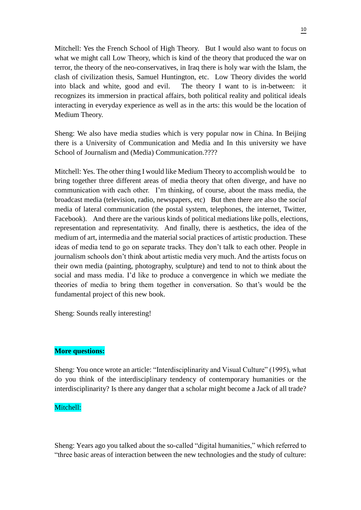Mitchell: Yes the French School of High Theory. But I would also want to focus on what we might call Low Theory, which is kind of the theory that produced the war on terror, the theory of the neo-conservatives, in Iraq there is holy war with the Islam, the clash of civilization thesis, Samuel Huntington, etc. Low Theory divides the world into black and white, good and evil. The theory I want to is in-between: recognizes its immersion in practical affairs, both political reality and political ideals interacting in everyday experience as well as in the arts: this would be the location of Medium Theory.

Sheng: We also have media studies which is very popular now in China. In Beijing there is a University of Communication and Media and In this university we have School of Journalism and (Media) Communication.????

Mitchell: Yes. The other thing I would like Medium Theory to accomplish would be to bring together three different areas of media theory that often diverge, and have no communication with each other. I'm thinking, of course, about the mass media, the broadcast media (television, radio, newspapers, etc) But then there are also the *social* media of lateral communication (the postal system, telephones, the internet, Twitter, Facebook). And there are the various kinds of political mediations like polls, elections, representation and representativity. And finally, there is aesthetics, the idea of the medium of art, intermedia and the material social practices of artistic production. These ideas of media tend to go on separate tracks. They don't talk to each other. People in journalism schools don't think about artistic media very much. And the artists focus on their own media (painting, photography, sculpture) and tend to not to think about the social and mass media. I'd like to produce a convergence in which we mediate the theories of media to bring them together in conversation. So that's would be the fundamental project of this new book.

Sheng: Sounds really interesting!

#### **More questions:**

Sheng: You once wrote an article: "Interdisciplinarity and Visual Culture" (1995), what do you think of the interdisciplinary tendency of contemporary humanities or the interdisciplinarity? Is there any danger that a scholar might become a Jack of all trade?

### Mitchell:

Sheng: Years ago you talked about the so-called "digital humanities," which referred to "three basic areas of interaction between the new technologies and the study of culture: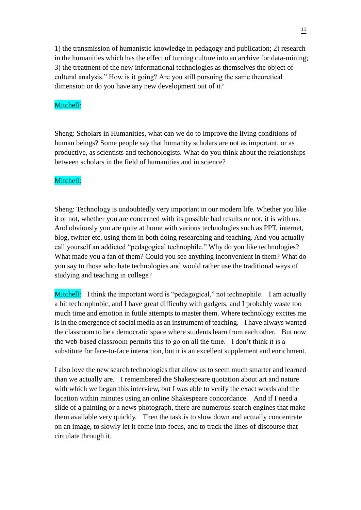1) the transmission of humanistic knowledge in pedagogy and publication; 2) research in the humanities which has the effect of turning culture into an archive for data-mining; 3) the treatment of the new informational technologies as themselves the object of cultural analysis." How is it going? Are you still pursuing the same theoretical dimension or do you have any new development out of it?

### Mitchell:

Sheng: Scholars in Humanities, what can we do to improve the living conditions of human beings? Some people say that humanity scholars are not as important, or as productive, as scientists and techonologists. What do you think about the relationships between scholars in the field of humanities and in science?

## Mitchell:

Sheng: Technology is undoubtedly very important in our modern life. Whether you like it or not, whether you are concerned with its possible bad results or not, it is with us. And obviously you are quite at home with various technologies such as PPT, internet, blog, twitter etc, using them in both doing researching and teaching. And you actually call yourself an addicted "pedagogical technophile." Why do you like technologies? What made you a fan of them? Could you see anything inconvenient in them? What do you say to those who hate technologies and would rather use the traditional ways of studying and teaching in college?

Mitchell: I think the important word is "pedagogical," not technophile. I am actually a bit technophobic, and I have great difficulty with gadgets, and I probably waste too much time and emotion in futile attempts to master them. Where technology excites me is in the emergence of social media as an instrument of teaching. I have always wanted the classroom to be a democratic space where students learn from each other. But now the web-based classroom permits this to go on all the time. I don't think it is a substitute for face-to-face interaction, but it is an excellent supplement and enrichment.

I also love the new search technologies that allow us to seem much smarter and learned than we actually are. I remembered the Shakespeare quotation about art and nature with which we began this interview, but I was able to verify the exact words and the location within minutes using an online Shakespeare concordance. And if I need a slide of a painting or a news photograph, there are numerous search engines that make them available very quickly. Then the task is to slow down and actually concentrate on an image, to slowly let it come into focus, and to track the lines of discourse that circulate through it.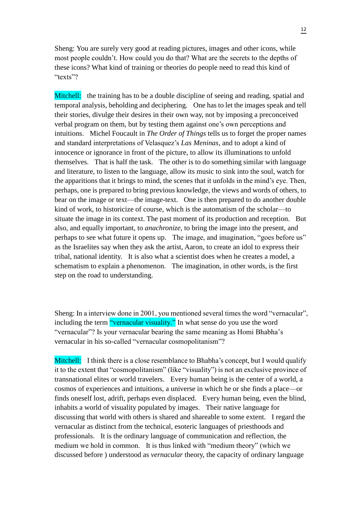Sheng: You are surely very good at reading pictures, images and other icons, while most people couldn't. How could you do that? What are the secrets to the depths of these icons? What kind of training or theories do people need to read this kind of "texts"?

Mitchell: the training has to be a double discipline of seeing and reading, spatial and temporal analysis, beholding and deciphering. One has to let the images speak and tell their stories, divulge their desires in their own way, not by imposing a preconceived verbal program on them, but by testing them against one's own perceptions and intuitions. Michel Foucault in *The Order of Things* tells us to forget the proper names and standard interpretations of Velasquez's *Las Meninas*, and to adopt a kind of innocence or ignorance in front of the picture, to allow its illuminations to unfold themselves. That is half the task. The other is to do something similar with language and literature, to listen to the language, allow its music to sink into the soul, watch for the apparitions that it brings to mind, the scenes that it unfolds in the mind's eye. Then, perhaps, one is prepared to bring previous knowledge, the views and words of others, to bear on the image or text—the image-text. One is then prepared to do another double kind of work, to historicize of course, which is the automatism of the scholar—to situate the image in its context. The past moment of its production and reception. But also, and equally important, to *anachronize*, to bring the image into the present, and perhaps to see what future it opens up. The image, and imagination, "goes before us" as the Israelites say when they ask the artist, Aaron, to create an idol to express their tribal, national identity. It is also what a scientist does when he creates a model, a schematism to explain a phenomenon. The imagination, in other words, is the first step on the road to understanding.

Sheng: In a interview done in 2001, you mentioned several times the word "vernacular", including the term "vernacular visuality." In what sense do you use the word "vernacular"? Is your vernacular bearing the same meaning as Homi Bhabha's vernacular in his so-called "vernacular cosmopolitanism"?

Mitchell: I think there is a close resemblance to Bhabha's concept, but I would qualify it to the extent that "cosmopolitanism" (like "visuality") is not an exclusive province of transnational elites or world travelers. Every human being is the center of a world, a cosmos of experiences and intuitions, a universe in which he or she finds a place—or finds oneself lost, adrift, perhaps even displaced. Every human being, even the blind, inhabits a world of visuality populated by images. Their native language for discussing that world with others is shared and shareable to some extent. I regard the vernacular as distinct from the technical, esoteric languages of priesthoods and professionals. It is the ordinary language of communication and reflection, the medium we hold in common. It is thus linked with "medium theory" (which we discussed before ) understood as *vernacular* theory, the capacity of ordinary language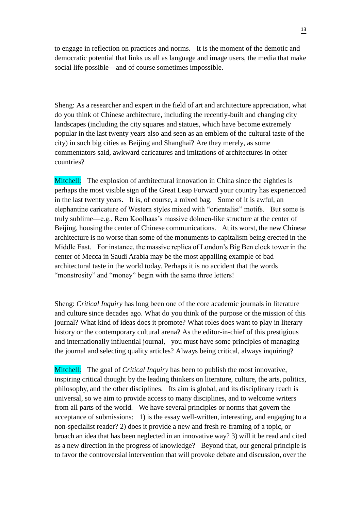to engage in reflection on practices and norms. It is the moment of the demotic and democratic potential that links us all as language and image users, the media that make social life possible—and of course sometimes impossible.

Sheng: As a researcher and expert in the field of art and architecture appreciation, what do you think of Chinese architecture, including the recently-built and changing city landscapes (including the city squares and statues, which have become extremely popular in the last twenty years also and seen as an emblem of the cultural taste of the city) in such big cities as Beijing and Shanghai? Are they merely, as some commentators said, awkward caricatures and imitations of architectures in other countries?

Mitchell: The explosion of architectural innovation in China since the eighties is perhaps the most visible sign of the Great Leap Forward your country has experienced in the last twenty years. It is, of course, a mixed bag. Some of it is awful, an elephantine caricature of Western styles mixed with "orientalist" motifs. But some is truly sublime—e.g., Rem Koolhaas's massive dolmen-like structure at the center of Beijing, housing the center of Chinese communications. At its worst, the new Chinese architecture is no worse than some of the monuments to capitalism being erected in the Middle East. For instance, the massive replica of London's Big Ben clock tower in the center of Mecca in Saudi Arabia may be the most appalling example of bad architectural taste in the world today. Perhaps it is no accident that the words "monstrosity" and "money" begin with the same three letters!

Sheng: *Critical Inquiry* has long been one of the core academic journals in literature and culture since decades ago. What do you think of the purpose or the mission of this journal? What kind of ideas does it promote? What roles does want to play in literary history or the contemporary cultural arena? As the editor-in-chief of this prestigious and internationally influential journal, you must have some principles of managing the journal and selecting quality articles? Always being critical, always inquiring?

Mitchell: The goal of *Critical Inquiry* has been to publish the most innovative, inspiring critical thought by the leading thinkers on literature, culture, the arts, politics, philosophy, and the other disciplines. Its aim is global, and its disciplinary reach is universal, so we aim to provide access to many disciplines, and to welcome writers from all parts of the world. We have several principles or norms that govern the acceptance of submissions: 1) is the essay well-written, interesting, and engaging to a non-specialist reader? 2) does it provide a new and fresh re-framing of a topic, or broach an idea that has been neglected in an innovative way? 3) will it be read and cited as a new direction in the progress of knowledge? Beyond that, our general principle is to favor the controversial intervention that will provoke debate and discussion, over the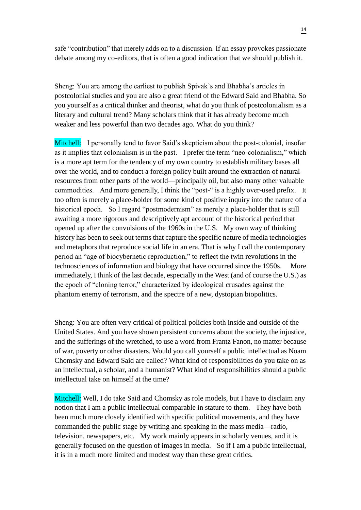safe "contribution" that merely adds on to a discussion. If an essay provokes passionate debate among my co-editors, that is often a good indication that we should publish it.

Sheng: You are among the earliest to publish Spivak's and Bhabha's articles in postcolonial studies and you are also a great friend of the Edward Said and Bhabha. So you yourself as a critical thinker and theorist, what do you think of postcolonialism as a literary and cultural trend? Many scholars think that it has already become much weaker and less powerful than two decades ago. What do you think?

Mitchell: I personally tend to favor Said's skepticism about the post-colonial, insofar as it implies that colonialism is in the past. I prefer the term "neo-colonialism," which is a more apt term for the tendency of my own country to establish military bases all over the world, and to conduct a foreign policy built around the extraction of natural resources from other parts of the world—principally oil, but also many other valuable commodities. And more generally, I think the "post-" is a highly over-used prefix. It too often is merely a place-holder for some kind of positive inquiry into the nature of a historical epoch. So I regard "postmodernism" as merely a place-holder that is still awaiting a more rigorous and descriptively apt account of the historical period that opened up after the convulsions of the 1960s in the U.S. My own way of thinking history has been to seek out terms that capture the specific nature of media technologies and metaphors that reproduce social life in an era. That is why I call the contemporary period an "age of biocybernetic reproduction," to reflect the twin revolutions in the technosciences of information and biology that have occurred since the 1950s. More immediately, I think of the last decade, especially in the West (and of course the U.S.) as the epoch of "cloning terror," characterized by ideological crusades against the phantom enemy of terrorism, and the spectre of a new, dystopian biopolitics.

Sheng: You are often very critical of political policies both inside and outside of the United States. And you have shown persistent concerns about the society, the injustice, and the sufferings of the wretched, to use a word from Frantz Fanon, no matter because of war, poverty or other disasters. Would you call yourself a public intellectual as Noam Chomsky and Edward Said are called? What kind of responsibilities do you take on as an intellectual, a scholar, and a humanist? What kind of responsibilities should a public intellectual take on himself at the time?

Mitchell: Well, I do take Said and Chomsky as role models, but I have to disclaim any notion that I am a public intellectual comparable in stature to them. They have both been much more closely identified with specific political movements, and they have commanded the public stage by writing and speaking in the mass media—radio, television, newspapers, etc. My work mainly appears in scholarly venues, and it is generally focused on the question of images in media. So if I am a public intellectual, it is in a much more limited and modest way than these great critics.